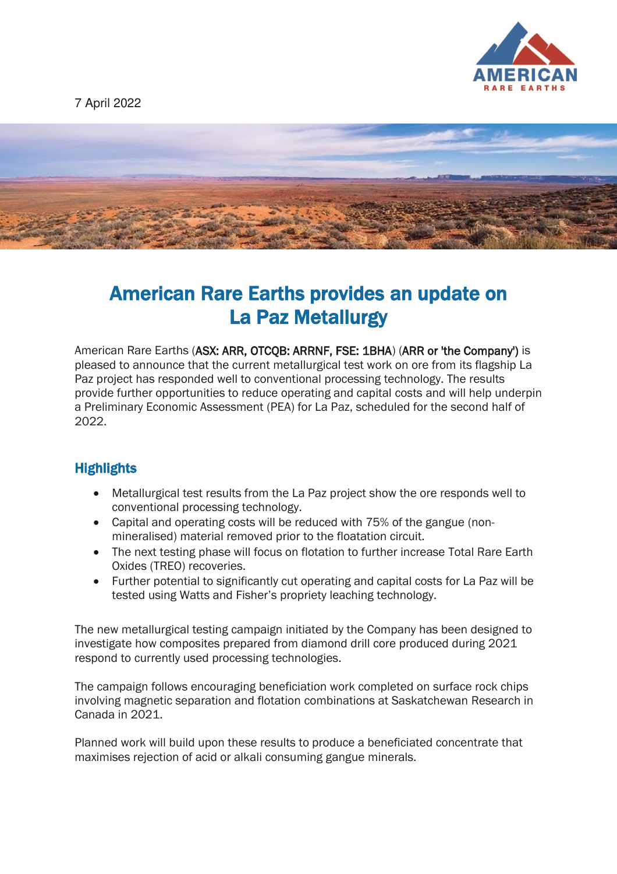

7 April 2022



# American Rare Earths provides an update on La Paz Metallurgy

American Rare Earths (ASX: ARR, OTCQB: ARRNF, FSE: 1BHA) (ARR or 'the Company') is pleased to announce that the current metallurgical test work on ore from its flagship La Paz project has responded well to conventional processing technology. The results provide further opportunities to reduce operating and capital costs and will help underpin a Preliminary Economic Assessment (PEA) for La Paz, scheduled for the second half of 2022.

# **Highlights**

- Metallurgical test results from the La Paz project show the ore responds well to conventional processing technology.
- Capital and operating costs will be reduced with 75% of the gangue (nonmineralised) material removed prior to the floatation circuit.
- The next testing phase will focus on flotation to further increase Total Rare Earth Oxides (TREO) recoveries.
- Further potential to significantly cut operating and capital costs for La Paz will be tested using Watts and Fisher's propriety leaching technology.

The new metallurgical testing campaign initiated by the Company has been designed to investigate how composites prepared from diamond drill core produced during 2021 respond to currently used processing technologies.

The campaign follows encouraging beneficiation work completed on surface rock chips involving magnetic separation and flotation combinations at Saskatchewan Research in Canada in 2021.

Planned work will build upon these results to produce a beneficiated concentrate that maximises rejection of acid or alkali consuming gangue minerals.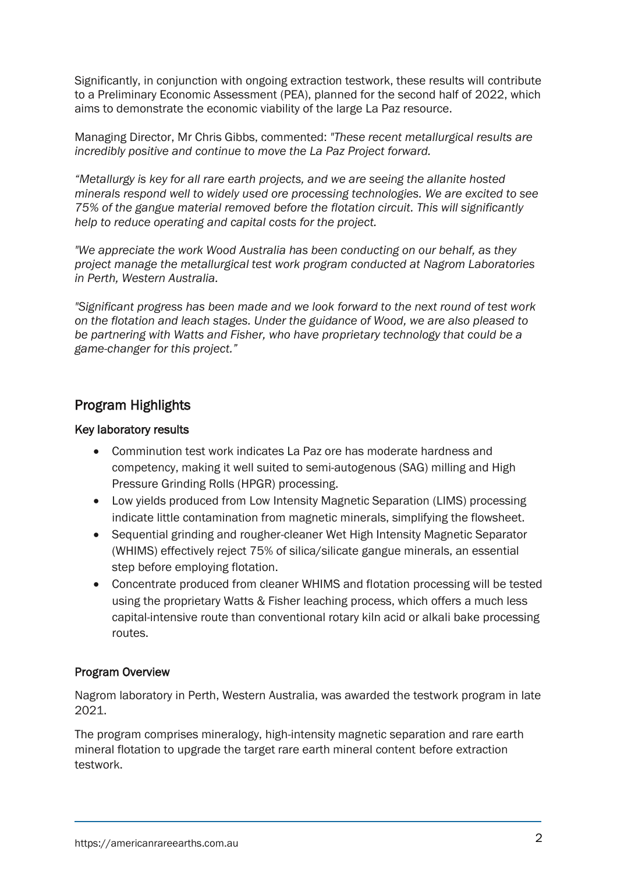Significantly, in conjunction with ongoing extraction testwork, these results will contribute to a Preliminary Economic Assessment (PEA), planned for the second half of 2022, which aims to demonstrate the economic viability of the large La Paz resource.

Managing Director, Mr Chris Gibbs, commented: *"These recent metallurgical results are incredibly positive and continue to move the La Paz Project forward.* 

*"Metallurgy is key for all rare earth projects, and we are seeing the allanite hosted minerals respond well to widely used ore processing technologies. We are excited to see 75% of the gangue material removed before the flotation circuit. This will significantly help to reduce operating and capital costs for the project.* 

*"We appreciate the work Wood Australia has been conducting on our behalf, as they project manage the metallurgical test work program conducted at Nagrom Laboratories in Perth, Western Australia.* 

*"Significant progress has been made and we look forward to the next round of test work on the flotation and leach stages. Under the guidance of Wood, we are also pleased to be partnering with Watts and Fisher, who have proprietary technology that could be a game-changer for this project."*

# Program Highlights

#### Key laboratory results

- Comminution test work indicates La Paz ore has moderate hardness and competency, making it well suited to semi-autogenous (SAG) milling and High Pressure Grinding Rolls (HPGR) processing.
- Low yields produced from Low Intensity Magnetic Separation (LIMS) processing indicate little contamination from magnetic minerals, simplifying the flowsheet.
- Sequential grinding and rougher-cleaner Wet High Intensity Magnetic Separator (WHIMS) effectively reject 75% of silica/silicate gangue minerals, an essential step before employing flotation.
- Concentrate produced from cleaner WHIMS and flotation processing will be tested using the proprietary Watts & Fisher leaching process, which offers a much less capital-intensive route than conventional rotary kiln acid or alkali bake processing routes.

#### Program Overview

Nagrom laboratory in Perth, Western Australia, was awarded the testwork program in late 2021.

The program comprises mineralogy, high-intensity magnetic separation and rare earth mineral flotation to upgrade the target rare earth mineral content before extraction testwork.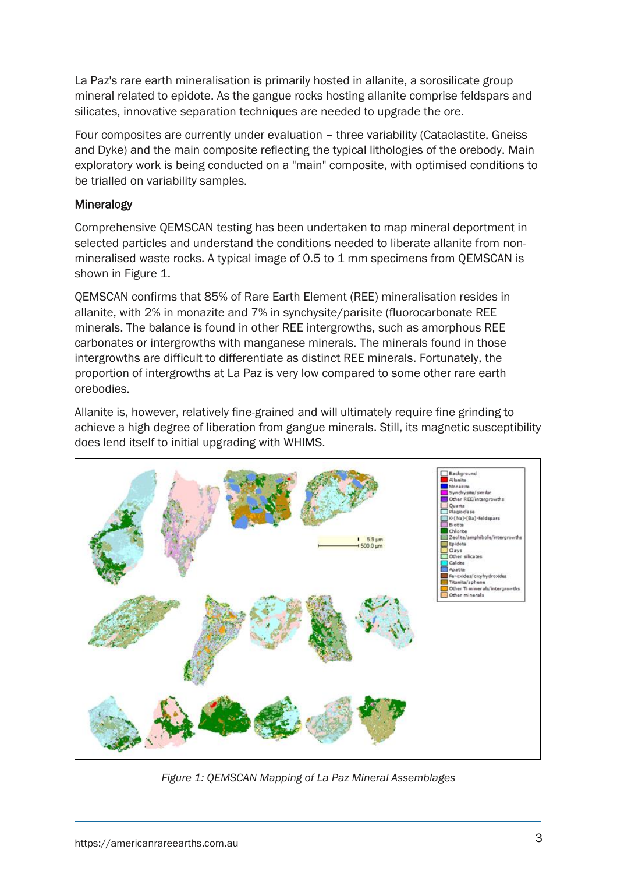La Paz's rare earth mineralisation is primarily hosted in allanite, a sorosilicate group mineral related to epidote. As the gangue rocks hosting allanite comprise feldspars and silicates, innovative separation techniques are needed to upgrade the ore.

Four composites are currently under evaluation – three variability (Cataclastite, Gneiss and Dyke) and the main composite reflecting the typical lithologies of the orebody. Main exploratory work is being conducted on a "main" composite, with optimised conditions to be trialled on variability samples.

#### Mineralogy

Comprehensive QEMSCAN testing has been undertaken to map mineral deportment in selected particles and understand the conditions needed to liberate allanite from nonmineralised waste rocks. A typical image of 0.5 to 1 mm specimens from QEMSCAN is shown in Figure 1.

QEMSCAN confirms that 85% of Rare Earth Element (REE) mineralisation resides in allanite, with 2% in monazite and 7% in synchysite/parisite (fluorocarbonate REE minerals. The balance is found in other REE intergrowths, such as amorphous REE carbonates or intergrowths with manganese minerals. The minerals found in those intergrowths are difficult to differentiate as distinct REE minerals. Fortunately, the proportion of intergrowths at La Paz is very low compared to some other rare earth orebodies.

Allanite is, however, relatively fine-grained and will ultimately require fine grinding to achieve a high degree of liberation from gangue minerals. Still, its magnetic susceptibility does lend itself to initial upgrading with WHIMS.



*Figure 1: QEMSCAN Mapping of La Paz Mineral Assemblages*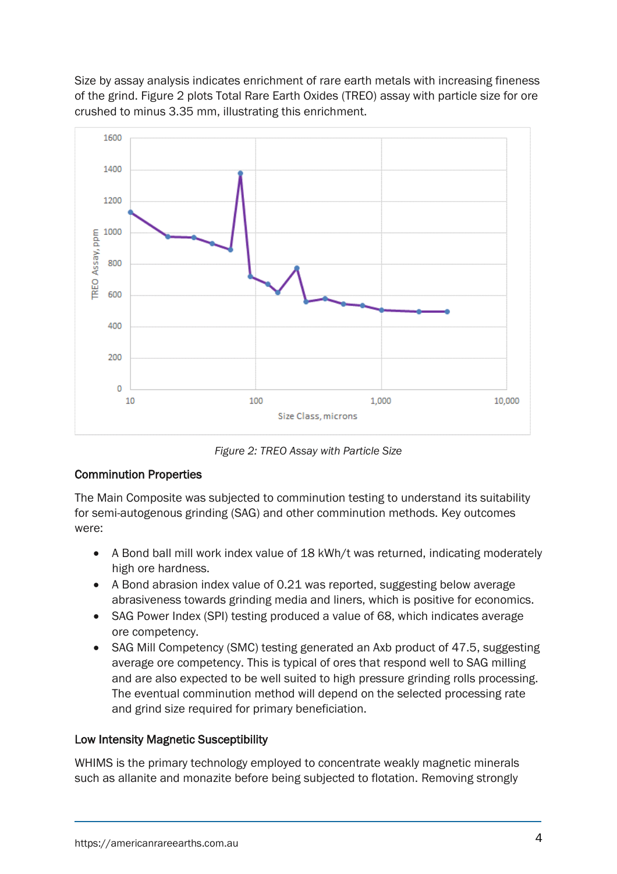Size by assay analysis indicates enrichment of rare earth metals with increasing fineness of the grind. Figure 2 plots Total Rare Earth Oxides (TREO) assay with particle size for ore crushed to minus 3.35 mm, illustrating this enrichment.



*Figure 2: TREO Assay with Particle Size* 

## Comminution Properties

The Main Composite was subjected to comminution testing to understand its suitability for semi-autogenous grinding (SAG) and other comminution methods. Key outcomes were:

- A Bond ball mill work index value of 18 kWh/t was returned, indicating moderately high ore hardness.
- A Bond abrasion index value of 0.21 was reported, suggesting below average abrasiveness towards grinding media and liners, which is positive for economics.
- SAG Power Index (SPI) testing produced a value of 68, which indicates average ore competency.
- SAG Mill Competency (SMC) testing generated an Axb product of 47.5, suggesting average ore competency. This is typical of ores that respond well to SAG milling and are also expected to be well suited to high pressure grinding rolls processing. The eventual comminution method will depend on the selected processing rate and grind size required for primary beneficiation.

## Low Intensity Magnetic Susceptibility

WHIMS is the primary technology employed to concentrate weakly magnetic minerals such as allanite and monazite before being subjected to flotation. Removing strongly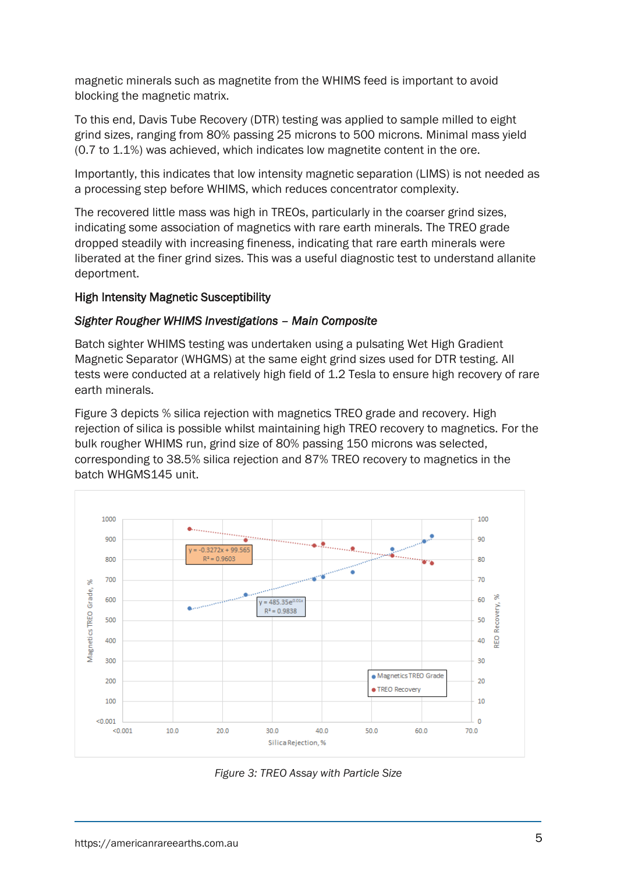magnetic minerals such as magnetite from the WHIMS feed is important to avoid blocking the magnetic matrix.

To this end, Davis Tube Recovery (DTR) testing was applied to sample milled to eight grind sizes, ranging from 80% passing 25 microns to 500 microns. Minimal mass yield (0.7 to 1.1%) was achieved, which indicates low magnetite content in the ore.

Importantly, this indicates that low intensity magnetic separation (LIMS) is not needed as a processing step before WHIMS, which reduces concentrator complexity.

The recovered little mass was high in TREOs, particularly in the coarser grind sizes, indicating some association of magnetics with rare earth minerals. The TREO grade dropped steadily with increasing fineness, indicating that rare earth minerals were liberated at the finer grind sizes. This was a useful diagnostic test to understand allanite deportment.

#### High Intensity Magnetic Susceptibility

#### *Sighter Rougher WHIMS Investigations – Main Composite*

Batch sighter WHIMS testing was undertaken using a pulsating Wet High Gradient Magnetic Separator (WHGMS) at the same eight grind sizes used for DTR testing. All tests were conducted at a relatively high field of 1.2 Tesla to ensure high recovery of rare earth minerals.

Figure 3 depicts % silica rejection with magnetics TREO grade and recovery. High rejection of silica is possible whilst maintaining high TREO recovery to magnetics. For the bulk rougher WHIMS run, grind size of 80% passing 150 microns was selected, corresponding to 38.5% silica rejection and 87% TREO recovery to magnetics in the batch WHGMS145 unit.



*Figure 3: TREO Assay with Particle Size*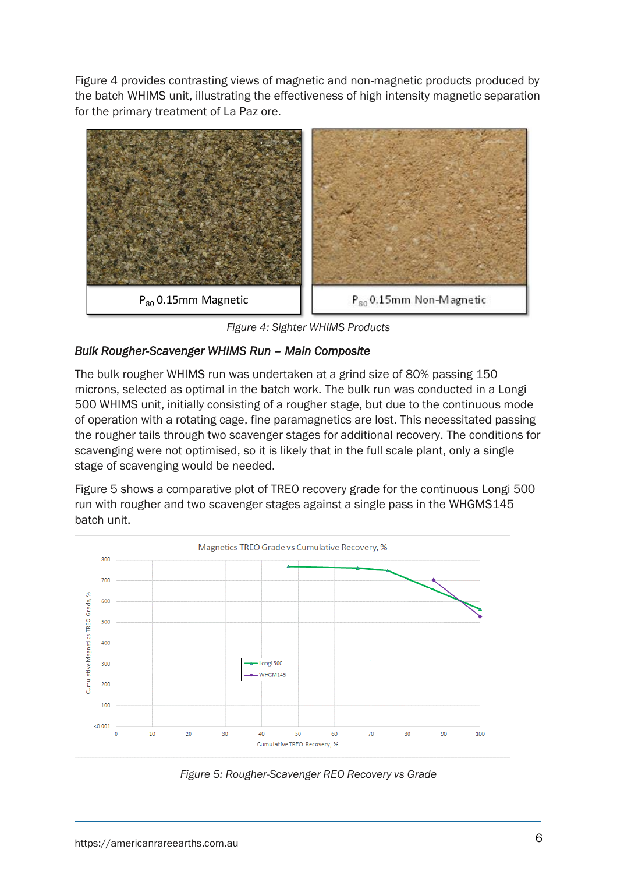Figure 4 provides contrasting views of magnetic and non-magnetic products produced by the batch WHIMS unit, illustrating the effectiveness of high intensity magnetic separation for the primary treatment of La Paz ore.



*Figure 4: Sighter WHIMS Products* 

## *Bulk Rougher-Scavenger WHIMS Run – Main Composite*

The bulk rougher WHIMS run was undertaken at a grind size of 80% passing 150 microns, selected as optimal in the batch work. The bulk run was conducted in a Longi 500 WHIMS unit, initially consisting of a rougher stage, but due to the continuous mode of operation with a rotating cage, fine paramagnetics are lost. This necessitated passing the rougher tails through two scavenger stages for additional recovery. The conditions for scavenging were not optimised, so it is likely that in the full scale plant, only a single stage of scavenging would be needed.

Figure 5 shows a comparative plot of TREO recovery grade for the continuous Longi 500 run with rougher and two scavenger stages against a single pass in the WHGMS145 batch unit.



*Figure 5: Rougher-Scavenger REO Recovery vs Grade*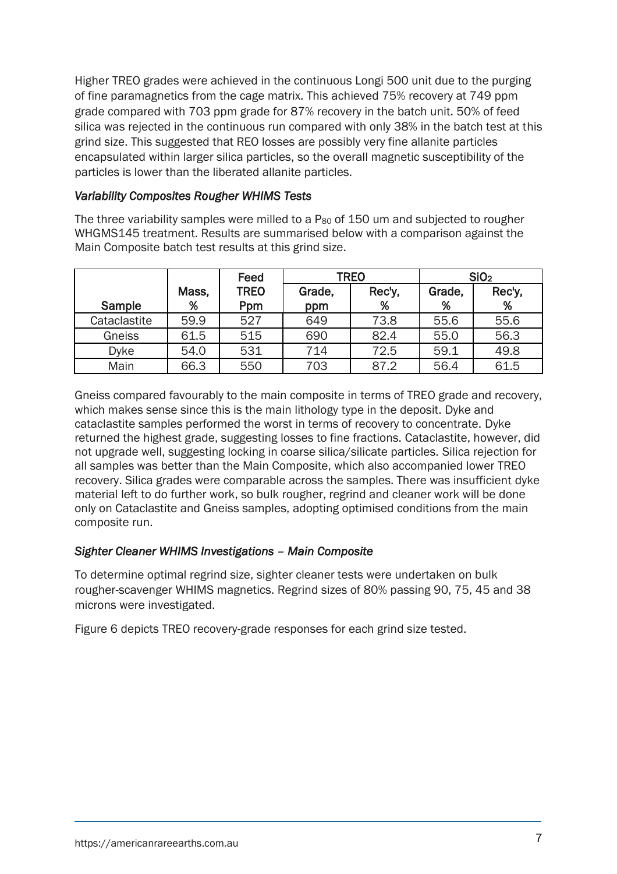Higher TREO grades were achieved in the continuous Longi 500 unit due to the purging of fine paramagnetics from the cage matrix. This achieved 75% recovery at 749 ppm grade compared with 703 ppm grade for 87% recovery in the batch unit. 50% of feed silica was rejected in the continuous run compared with only 38% in the batch test at this grind size. This suggested that REO losses are possibly very fine allanite particles encapsulated within larger silica particles, so the overall magnetic susceptibility of the particles is lower than the liberated allanite particles.

#### *Variability Composites Rougher WHIMS Tests*

The three variability samples were milled to a P<sub>80</sub> of 150 um and subjected to rougher WHGMS145 treatment. Results are summarised below with a comparison against the Main Composite batch test results at this grind size.

|              |       | Feed        | <b>TREO</b> |        | SiO <sub>2</sub> |        |
|--------------|-------|-------------|-------------|--------|------------------|--------|
|              | Mass, | <b>TREO</b> | Grade,      | Rec'y, | Grade,           | Rec'y, |
| Sample       | %     | Ppm         | ppm         | %      | %                | %      |
| Cataclastite | 59.9  | 527         | 649         | 73.8   | 55.6             | 55.6   |
| Gneiss       | 61.5  | 515         | 690         | 82.4   | 55.0             | 56.3   |
| <b>Dyke</b>  | 54.0  | 531         | 714         | 72.5   | 59.1             | 49.8   |
| Main         | 66.3  | 550         | 703         | 87.2   | 56.4             | 61.5   |

Gneiss compared favourably to the main composite in terms of TREO grade and recovery, which makes sense since this is the main lithology type in the deposit. Dyke and cataclastite samples performed the worst in terms of recovery to concentrate. Dyke returned the highest grade, suggesting losses to fine fractions. Cataclastite, however, did not upgrade well, suggesting locking in coarse silica/silicate particles. Silica rejection for all samples was better than the Main Composite, which also accompanied lower TREO recovery. Silica grades were comparable across the samples. There was insufficient dyke material left to do further work, so bulk rougher, regrind and cleaner work will be done only on Cataclastite and Gneiss samples, adopting optimised conditions from the main composite run.

#### *Sighter Cleaner WHIMS Investigations – Main Composite*

To determine optimal regrind size, sighter cleaner tests were undertaken on bulk rougher-scavenger WHIMS magnetics. Regrind sizes of 80% passing 90, 75, 45 and 38 microns were investigated.

Figure 6 depicts TREO recovery-grade responses for each grind size tested.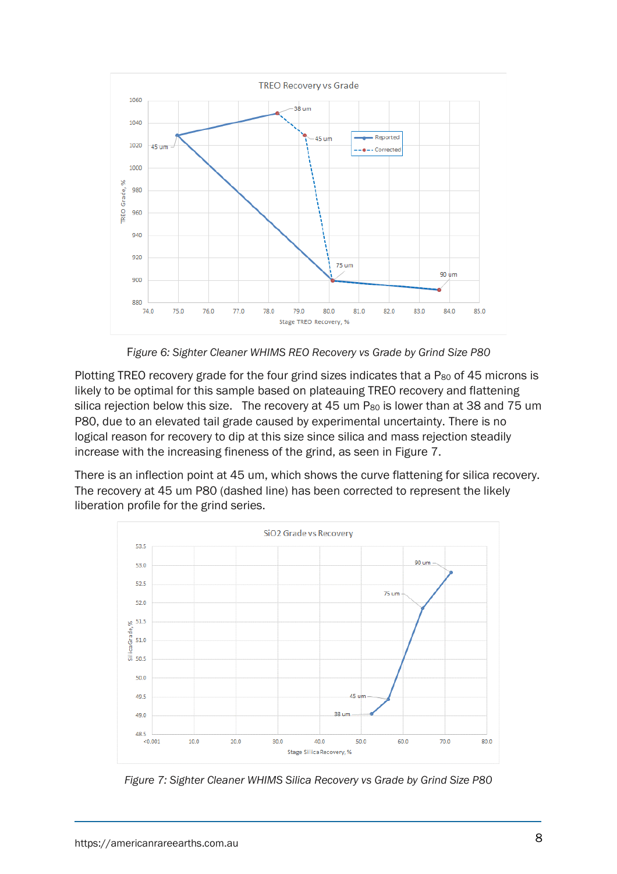

F*igure 6: Sighter Cleaner WHIMS REO Recovery vs Grade by Grind Size P80* 

Plotting TREO recovery grade for the four grind sizes indicates that a P<sub>80</sub> of 45 microns is likely to be optimal for this sample based on plateauing TREO recovery and flattening silica rejection below this size. The recovery at 45 um P<sub>80</sub> is lower than at 38 and 75 um P80, due to an elevated tail grade caused by experimental uncertainty. There is no logical reason for recovery to dip at this size since silica and mass rejection steadily increase with the increasing fineness of the grind, as seen in Figure 7.

There is an inflection point at 45 um, which shows the curve flattening for silica recovery. The recovery at 45 um P80 (dashed line) has been corrected to represent the likely liberation profile for the grind series.



*Figure 7: Sighter Cleaner WHIMS Silica Recovery vs Grade by Grind Size P80*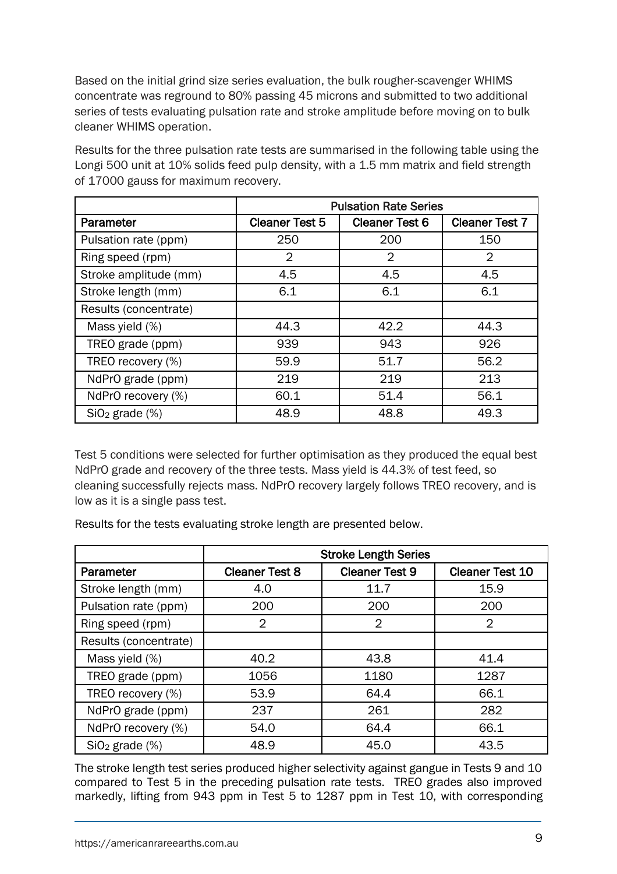Based on the initial grind size series evaluation, the bulk rougher-scavenger WHIMS concentrate was reground to 80% passing 45 microns and submitted to two additional series of tests evaluating pulsation rate and stroke amplitude before moving on to bulk cleaner WHIMS operation.

Results for the three pulsation rate tests are summarised in the following table using the Longi 500 unit at 10% solids feed pulp density, with a 1.5 mm matrix and field strength of 17000 gauss for maximum recovery.

|                       | <b>Pulsation Rate Series</b> |                       |                       |
|-----------------------|------------------------------|-----------------------|-----------------------|
| Parameter             | <b>Cleaner Test 5</b>        | <b>Cleaner Test 6</b> | <b>Cleaner Test 7</b> |
| Pulsation rate (ppm)  | 250                          | 200                   | 150                   |
| Ring speed (rpm)      | $\overline{2}$               | 2                     | 2                     |
| Stroke amplitude (mm) | 4.5                          | 4.5                   | 4.5                   |
| Stroke length (mm)    | 6.1                          | 6.1                   | 6.1                   |
| Results (concentrate) |                              |                       |                       |
| Mass yield (%)        | 44.3                         | 42.2                  | 44.3                  |
| TREO grade (ppm)      | 939                          | 943                   | 926                   |
| TREO recovery (%)     | 59.9                         | 51.7                  | 56.2                  |
| NdPrO grade (ppm)     | 219                          | 219                   | 213                   |
| NdPrO recovery (%)    | 60.1                         | 51.4                  | 56.1                  |
| $SiO2$ grade $(\%)$   | 48.9                         | 48.8                  | 49.3                  |

Test 5 conditions were selected for further optimisation as they produced the equal best NdPrO grade and recovery of the three tests. Mass yield is 44.3% of test feed, so cleaning successfully rejects mass. NdPrO recovery largely follows TREO recovery, and is low as it is a single pass test.

Results for the tests evaluating stroke length are presented below.

|                       | <b>Stroke Length Series</b> |                       |                        |  |  |
|-----------------------|-----------------------------|-----------------------|------------------------|--|--|
| Parameter             | <b>Cleaner Test 8</b>       | <b>Cleaner Test 9</b> | <b>Cleaner Test 10</b> |  |  |
| Stroke length (mm)    | 4.0                         | 11.7                  | 15.9                   |  |  |
| Pulsation rate (ppm)  | 200                         | 200                   | 200                    |  |  |
| Ring speed (rpm)      | $\overline{2}$              | 2                     | $\overline{2}$         |  |  |
| Results (concentrate) |                             |                       |                        |  |  |
| Mass yield (%)        | 40.2                        | 43.8                  | 41.4                   |  |  |
| TREO grade (ppm)      | 1056                        | 1180                  | 1287                   |  |  |
| TREO recovery (%)     | 53.9                        | 64.4                  | 66.1                   |  |  |
| NdPrO grade (ppm)     | 237                         | 261                   | 282                    |  |  |
| NdPrO recovery (%)    | 54.0                        | 64.4                  | 66.1                   |  |  |
| $SiO2$ grade $(\%)$   | 48.9                        | 45.0                  | 43.5                   |  |  |

The stroke length test series produced higher selectivity against gangue in Tests 9 and 10 compared to Test 5 in the preceding pulsation rate tests. TREO grades also improved markedly, lifting from 943 ppm in Test 5 to 1287 ppm in Test 10, with corresponding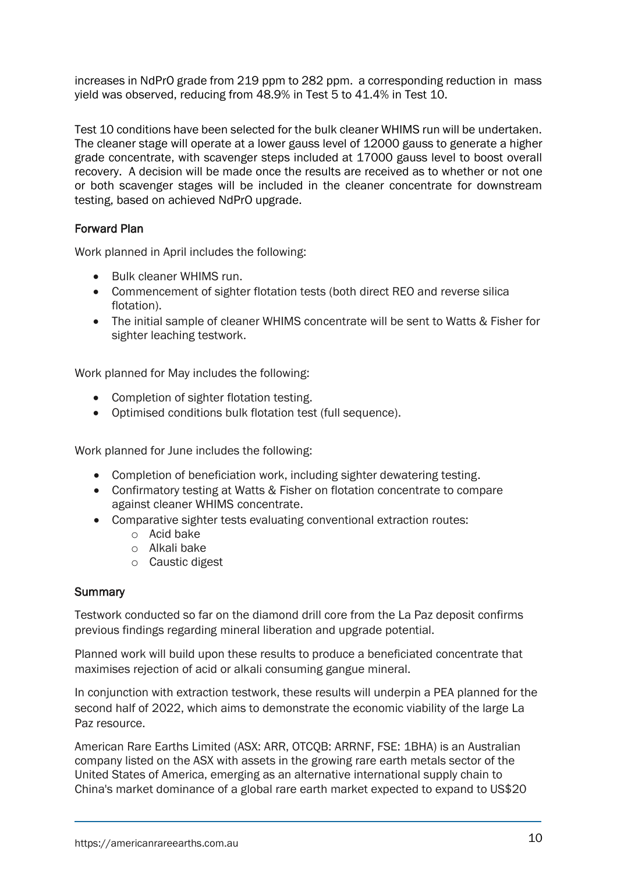increases in NdPrO grade from 219 ppm to 282 ppm. a corresponding reduction in mass yield was observed, reducing from 48.9% in Test 5 to 41.4% in Test 10.

Test 10 conditions have been selected for the bulk cleaner WHIMS run will be undertaken. The cleaner stage will operate at a lower gauss level of 12000 gauss to generate a higher grade concentrate, with scavenger steps included at 17000 gauss level to boost overall recovery. A decision will be made once the results are received as to whether or not one or both scavenger stages will be included in the cleaner concentrate for downstream testing, based on achieved NdPrO upgrade.

#### Forward Plan

Work planned in April includes the following:

- Bulk cleaner WHIMS run.
- Commencement of sighter flotation tests (both direct REO and reverse silica flotation).
- The initial sample of cleaner WHIMS concentrate will be sent to Watts & Fisher for sighter leaching testwork.

Work planned for May includes the following:

- Completion of sighter flotation testing.
- Optimised conditions bulk flotation test (full sequence).

Work planned for June includes the following:

- Completion of beneficiation work, including sighter dewatering testing.
- Confirmatory testing at Watts & Fisher on flotation concentrate to compare against cleaner WHIMS concentrate.
- Comparative sighter tests evaluating conventional extraction routes:
	- o Acid bake
	- o Alkali bake
	- o Caustic digest

#### **Summary**

Testwork conducted so far on the diamond drill core from the La Paz deposit confirms previous findings regarding mineral liberation and upgrade potential.

Planned work will build upon these results to produce a beneficiated concentrate that maximises rejection of acid or alkali consuming gangue mineral.

In conjunction with extraction testwork, these results will underpin a PEA planned for the second half of 2022, which aims to demonstrate the economic viability of the large La Paz resource.

American Rare Earths Limited (ASX: ARR, OTCQB: ARRNF, FSE: 1BHA) is an Australian company listed on the ASX with assets in the growing rare earth metals sector of the United States of America, emerging as an alternative international supply chain to China's market dominance of a global rare earth market expected to expand to US\$20